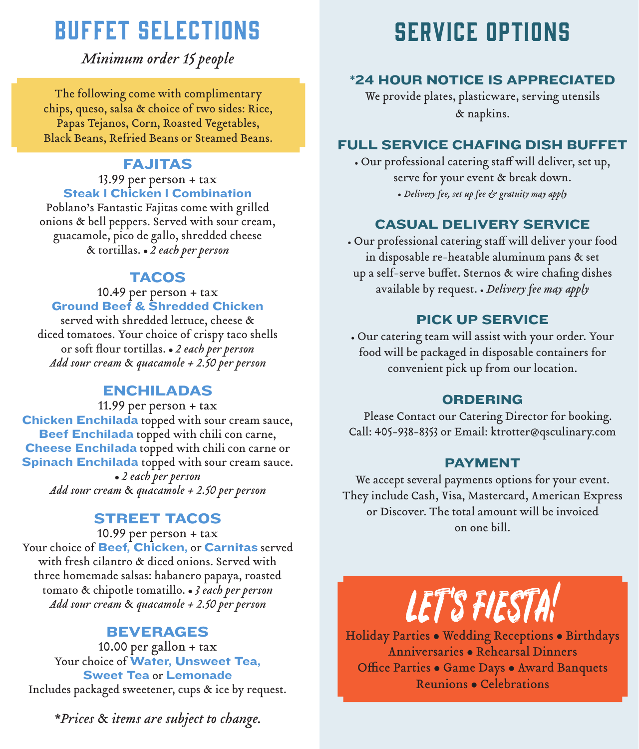# BUFFET SELECTIONS

*Minimum order 15 people*

The following come with complimentary chips, queso, salsa & choice of two sides: Rice, Papas Tejanos, Corn, Roasted Vegetables, Black Beans, Refried Beans or Steamed Beans.

## FAJITAS

#### 13.99 per person + tax **Steak I Chicken I Combination**

Poblano's Fantastic Fajitas come with grilled onions & bell peppers. Served with sour cream, guacamole, pico de gallo, shredded cheese & tortillas. • 2 each per person

### **TACOS**

#### 10.49 per person + tax Ground Beef & Shredded Chicken

served with shredded lettuce, cheese & diced tomatoes. Your choice of crispy taco shells or soft flour tortillas. . 2 each per person *Add sour cream* & *quacamole + 2.50 per person*

### ENCHILADAS

11.99 per person + tax Chicken Enchilada topped with sour cream sauce, Beef Enchilada topped with chili con carne, Cheese Enchilada topped with chili con carne or Spinach Enchilada topped with sour cream sauce. <sup>l</sup> *2 each per person Add sour cream* & *quacamole + 2.50 per person*

### STREET TACOS

10.99 per person + tax Your choice of Beef, Chicken, or Carnitas served with fresh cilantro & diced onions. Served with three homemade salsas: habanero papaya, roasted tomato & chipotle tomatillo. . *3 each per person Add sour cream* & *quacamole + 2.50 per person*

# BEVERAGES

10.00 per gallon + tax Your choice of Water, Unsweet Tea, Sweet Tea or Lemonade Includes packaged sweetener, cups & ice by request.

*\*Prices* & *items are subject to change.*

# SERVICE OPTIONS

### \*24 HOUR NOTICE IS APPRECIATED

We provide plates, plasticware, serving utensils & napkins.

### FULL SERVICE CHAFING DISH BUFFET

• Our professional catering staff will deliver, set up, serve for your event & break down.

• *Delivery fee, set up fee & gratuity may apply*

### CASUAL DELIVERY SERVICE

• Our professional catering staff will deliver your food in disposable re-heatable aluminum pans & set up a self-serve buffet. Sternos & wire chafing dishes available by request. • *Delivery fee may apply*

### PICK UP SERVICE

• Our catering team will assist with your order. Your food will be packaged in disposable containers for convenient pick up from our location.

### ORDERING

 Please Contact our Catering Director for booking. Call: 405-938-8353 or Email: ktrotter@qsculinary.com

### PAYMENT

We accept several payments options for your event. They include Cash, Visa, Mastercard, American Express or Discover. The total amount will be invoiced on one bill.

LET's FIESTA!

Holiday Parties . Wedding Receptions . Birthdays Anniversaries · Rehearsal Dinners Office Parties · Game Days · Award Banquets Reunions • Celebrations